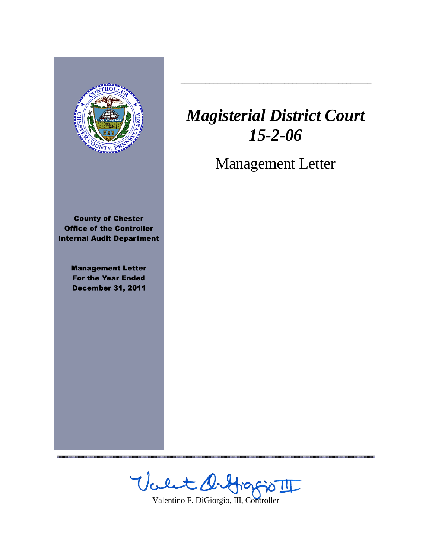

,,,,,,,,,,,,,,,,,,,,,,,,,,,,,,

# *Magisterial District Court 15-2-06*

 $\frac{1}{2}$  ,  $\frac{1}{2}$  ,  $\frac{1}{2}$  ,  $\frac{1}{2}$  ,  $\frac{1}{2}$  ,  $\frac{1}{2}$  ,  $\frac{1}{2}$  ,  $\frac{1}{2}$  ,  $\frac{1}{2}$  ,  $\frac{1}{2}$  ,  $\frac{1}{2}$  ,  $\frac{1}{2}$  ,  $\frac{1}{2}$  ,  $\frac{1}{2}$  ,  $\frac{1}{2}$  ,  $\frac{1}{2}$  ,  $\frac{1}{2}$  ,  $\frac{1}{2}$  ,  $\frac{1$ 

Management Letter

 $\frac{1}{2}$  ,  $\frac{1}{2}$  ,  $\frac{1}{2}$  ,  $\frac{1}{2}$  ,  $\frac{1}{2}$  ,  $\frac{1}{2}$  ,  $\frac{1}{2}$  ,  $\frac{1}{2}$  ,  $\frac{1}{2}$  ,  $\frac{1}{2}$  ,  $\frac{1}{2}$  ,  $\frac{1}{2}$  ,  $\frac{1}{2}$  ,  $\frac{1}{2}$  ,  $\frac{1}{2}$  ,  $\frac{1}{2}$  ,  $\frac{1}{2}$  ,  $\frac{1}{2}$  ,  $\frac{1$ 

Valet d. Grafio II

Valentino F. DiGiorgio, III, Controller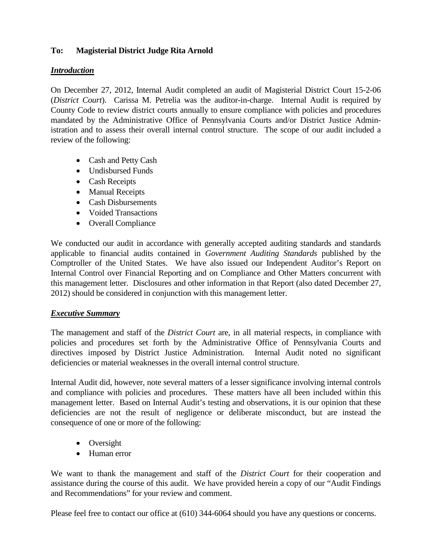## **To: Magisterial District Judge Rita Arnold**

## *Introduction*

On December 27, 2012, Internal Audit completed an audit of Magisterial District Court 15-2-06 (*District Court*). Carissa M. Petrelia was the auditor-in-charge. Internal Audit is required by County Code to review district courts annually to ensure compliance with policies and procedures mandated by the Administrative Office of Pennsylvania Courts and/or District Justice Administration and to assess their overall internal control structure. The scope of our audit included a review of the following:

- Cash and Petty Cash
- Undisbursed Funds
- Cash Receipts
- Manual Receipts
- Cash Disbursements
- Voided Transactions
- Overall Compliance

We conducted our audit in accordance with generally accepted auditing standards and standards applicable to financial audits contained in *Government Auditing Standards* published by the Comptroller of the United States. We have also issued our Independent Auditor's Report on Internal Control over Financial Reporting and on Compliance and Other Matters concurrent with this management letter. Disclosures and other information in that Report (also dated December 27, 2012) should be considered in conjunction with this management letter.

## *Executive Summary*

The management and staff of the *District Court* are, in all material respects, in compliance with policies and procedures set forth by the Administrative Office of Pennsylvania Courts and directives imposed by District Justice Administration. Internal Audit noted no significant deficiencies or material weaknesses in the overall internal control structure.

Internal Audit did, however, note several matters of a lesser significance involving internal controls and compliance with policies and procedures. These matters have all been included within this management letter. Based on Internal Audit's testing and observations, it is our opinion that these deficiencies are not the result of negligence or deliberate misconduct, but are instead the consequence of one or more of the following:

- Oversight
- Human error

We want to thank the management and staff of the *District Court* for their cooperation and assistance during the course of this audit. We have provided herein a copy of our "Audit Findings and Recommendations" for your review and comment.

Please feel free to contact our office at (610) 344-6064 should you have any questions or concerns.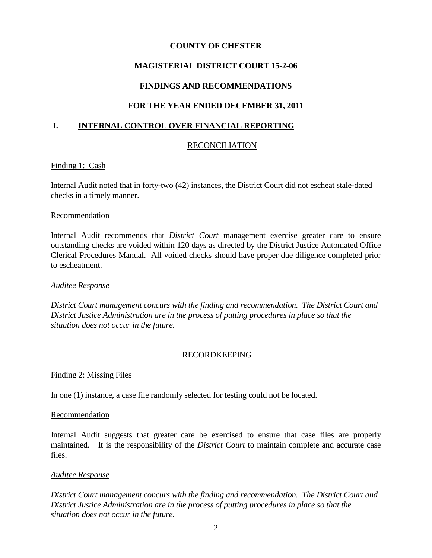## **MAGISTERIAL DISTRICT COURT 15-2-06**

## **FINDINGS AND RECOMMENDATIONS**

## **FOR THE YEAR ENDED DECEMBER 31, 2011**

## **I. INTERNAL CONTROL OVER FINANCIAL REPORTING**

## RECONCILIATION

#### Finding 1: Cash

Internal Audit noted that in forty-two (42) instances, the District Court did not escheat stale-dated checks in a timely manner.

#### Recommendation

Internal Audit recommends that *District Court* management exercise greater care to ensure outstanding checks are voided within 120 days as directed by the District Justice Automated Office Clerical Procedures Manual. All voided checks should have proper due diligence completed prior to escheatment.

#### *Auditee Response*

*District Court management concurs with the finding and recommendation. The District Court and District Justice Administration are in the process of putting procedures in place so that the situation does not occur in the future.*

#### RECORDKEEPING

#### Finding 2: Missing Files

In one (1) instance, a case file randomly selected for testing could not be located.

#### Recommendation

Internal Audit suggests that greater care be exercised to ensure that case files are properly maintained. It is the responsibility of the *District Court* to maintain complete and accurate case files.

#### *Auditee Response*

*District Court management concurs with the finding and recommendation. The District Court and District Justice Administration are in the process of putting procedures in place so that the situation does not occur in the future.*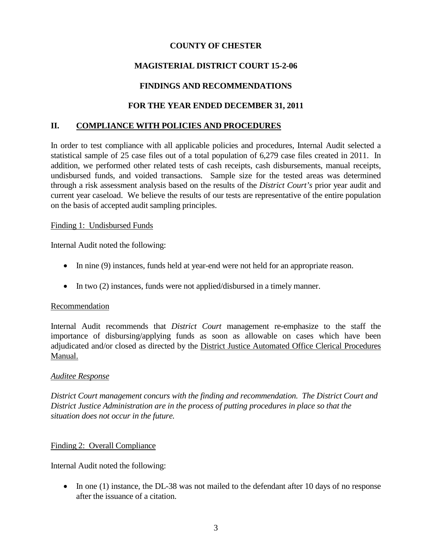# **MAGISTERIAL DISTRICT COURT 15-2-06**

## **FINDINGS AND RECOMMENDATIONS**

## **FOR THE YEAR ENDED DECEMBER 31, 2011**

#### **II. COMPLIANCE WITH POLICIES AND PROCEDURES**

In order to test compliance with all applicable policies and procedures, Internal Audit selected a statistical sample of 25 case files out of a total population of 6,279 case files created in 2011. In addition, we performed other related tests of cash receipts, cash disbursements, manual receipts, undisbursed funds, and voided transactions. Sample size for the tested areas was determined through a risk assessment analysis based on the results of the *District Court's* prior year audit and current year caseload. We believe the results of our tests are representative of the entire population on the basis of accepted audit sampling principles.

#### Finding 1: Undisbursed Funds

Internal Audit noted the following:

- In nine (9) instances, funds held at year-end were not held for an appropriate reason.
- In two (2) instances, funds were not applied/disbursed in a timely manner.

#### Recommendation

Internal Audit recommends that *District Court* management re-emphasize to the staff the importance of disbursing/applying funds as soon as allowable on cases which have been adjudicated and/or closed as directed by the District Justice Automated Office Clerical Procedures Manual.

#### *Auditee Response*

*District Court management concurs with the finding and recommendation. The District Court and District Justice Administration are in the process of putting procedures in place so that the situation does not occur in the future.*

#### Finding 2: Overall Compliance

Internal Audit noted the following:

• In one (1) instance, the DL-38 was not mailed to the defendant after 10 days of no response after the issuance of a citation.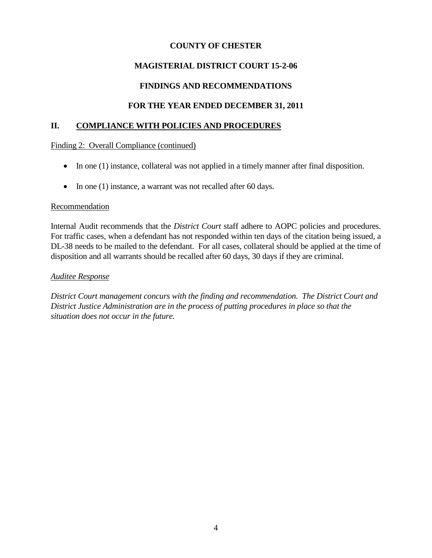# **MAGISTERIAL DISTRICT COURT 15-2-06**

## **FINDINGS AND RECOMMENDATIONS**

## **FOR THE YEAR ENDED DECEMBER 31, 2011**

#### **II. COMPLIANCE WITH POLICIES AND PROCEDURES**

Finding 2: Overall Compliance (continued)

- In one (1) instance, collateral was not applied in a timely manner after final disposition.
- In one (1) instance, a warrant was not recalled after 60 days.

#### Recommendation

Internal Audit recommends that the *District Court* staff adhere to AOPC policies and procedures. For traffic cases, when a defendant has not responded within ten days of the citation being issued, a DL-38 needs to be mailed to the defendant. For all cases, collateral should be applied at the time of disposition and all warrants should be recalled after 60 days, 30 days if they are criminal.

#### *Auditee Response*

*District Court management concurs with the finding and recommendation. The District Court and District Justice Administration are in the process of putting procedures in place so that the situation does not occur in the future.*